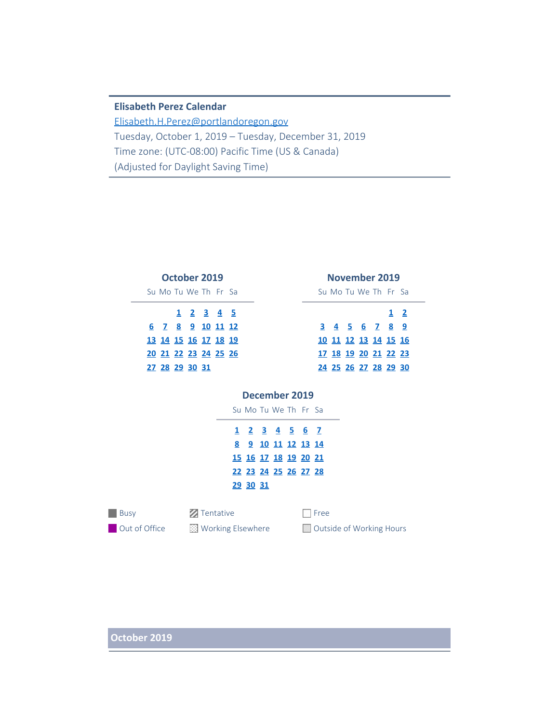## **Elisabeth Perez Calendar**

[Elisabeth.H.Perez@portlandoregon.gov](mailto:Elisabeth.H.Perez@portlandoregon.gov) Tuesday, October 1, 2019 – Tuesday, December 31, 2019 Time zone: (UTC-08:00) Pacific Time (US & Canada) (Adjusted for Daylight Saving Time)

|                             | October 2019 |   |                       |                  |                |                             |               |                                                                                                                          |                | November 2019           |   |                          |   |    |                         |     |              |
|-----------------------------|--------------|---|-----------------------|------------------|----------------|-----------------------------|---------------|--------------------------------------------------------------------------------------------------------------------------|----------------|-------------------------|---|--------------------------|---|----|-------------------------|-----|--------------|
| Su Mo Tu We The Free Sa     |              |   |                       |                  |                |                             |               |                                                                                                                          |                |                         |   |                          |   |    | Su Mo Tu We The Free Sa |     |              |
|                             |              | 1 |                       | $2 \overline{3}$ | 4 <sub>5</sub> |                             |               |                                                                                                                          |                |                         |   |                          |   |    |                         | 1   | $\mathbf{2}$ |
| 6.                          |              |   | <u>7 8 9 10 11 12</u> |                  |                |                             |               |                                                                                                                          |                |                         |   | 3                        | 4 | 5. | 6                       | 789 |              |
| <u>13 14 15 16 17 18 19</u> |              |   |                       |                  |                |                             |               |                                                                                                                          |                |                         |   |                          |   |    | 10 11 12 13 14 15 16    |     |              |
| 20 21 22 23 24 25 26        |              |   |                       |                  |                |                             |               |                                                                                                                          |                |                         |   |                          |   |    | 17 18 19 20 21 22 23    |     |              |
| 27 28 29 30 31              |              |   |                       |                  |                |                             |               |                                                                                                                          |                |                         |   |                          |   |    | 24 25 26 27 28 29 30    |     |              |
|                             |              |   |                       |                  |                | 1<br>8                      | 2<br>29 30 31 | December 2019<br>Su Mo Tu We The Free Sa<br>3<br>9 10 11 12 13 14<br><u>15 16 17 18 19 20 21</u><br>22 23 24 25 26 27 28 | $\overline{4}$ | $\overline{\mathbf{5}}$ | 6 | - 7                      |   |    |                         |     |              |
| <b>Busy</b>                 |              |   |                       |                  | Tentative      |                             |               |                                                                                                                          |                |                         |   | Free                     |   |    |                         |     |              |
| Out of Office               |              |   |                       |                  |                | <b>EX</b> Working Elsewhere |               |                                                                                                                          |                |                         |   | Outside of Working Hours |   |    |                         |     |              |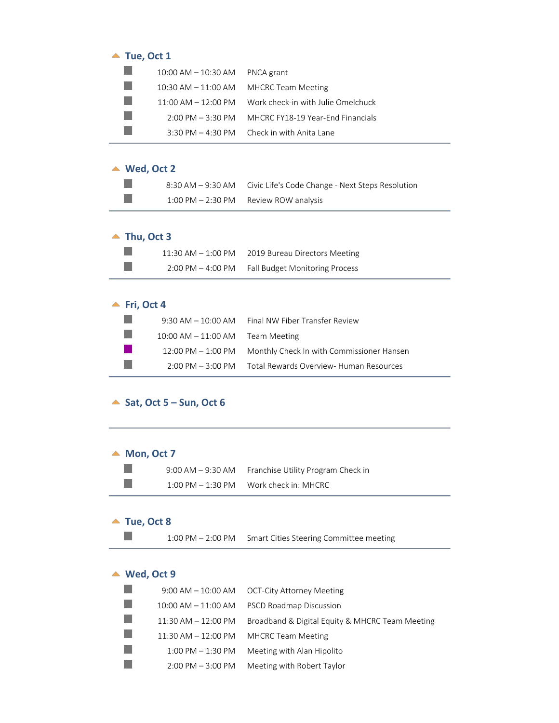| Tue, Oct 1 |                                       |                                                              |  |  |  |  |
|------------|---------------------------------------|--------------------------------------------------------------|--|--|--|--|
|            | $10:00$ AM $- 10:30$ AM               | PNCA grant                                                   |  |  |  |  |
|            | $10:30$ AM $- 11:00$ AM               | <b>MHCRC Team Meeting</b>                                    |  |  |  |  |
|            | $11:00 \text{ AM} - 12:00 \text{ PM}$ | Work check-in with Julie Omelchuck                           |  |  |  |  |
|            | $2:00 \text{ PM} - 3:30 \text{ PM}$   | MHCRC FY18-19 Year-Fnd Financials                            |  |  |  |  |
|            |                                       | $3:30 \text{ PM} - 4:30 \text{ PM}$ Check in with Anita Lane |  |  |  |  |
|            |                                       |                                                              |  |  |  |  |

# **Wed, Oct 2**

|  | 8:30 AM - 9:30 AM Civic Life's Code Change - Next Steps Resolution |
|--|--------------------------------------------------------------------|
|  | $1:00 \text{ PM} - 2:30 \text{ PM}$ Review ROW analysis            |

## $\blacktriangle$  Thu, Oct 3

 $\mathbb{R}^n$  $\mathcal{L}_{\mathcal{A}}$ 

| $11:30$ AM $- 1:00$ PM | 2019 Bureau Directors Meeting  |
|------------------------|--------------------------------|
| $2:00$ PM $-$ 4:00 PM  | Fall Budget Monitoring Process |

# $\blacktriangle$  Fri, Oct 4

|                 |                                     | 9:30 AM - 10:00 AM Final NW Fiber Transfer Review            |
|-----------------|-------------------------------------|--------------------------------------------------------------|
| <b>Contract</b> | $10:00$ AM $-11:00$ AM Team Meeting |                                                              |
| a katika        |                                     | 12:00 PM - 1:00 PM Monthly Check In with Commissioner Hansen |
| i se            |                                     | 2:00 PM - 3:00 PM Total Rewards Overview- Human Resources    |

### <span id="page-1-0"></span> $\triangle$  Sat, Oct 5 – Sun, Oct 6

## <span id="page-1-1"></span>▲ Mon, Oct 7

|                      | 9:00 AM – 9:30 AM Franchise Utility Program Check in |
|----------------------|------------------------------------------------------|
| $1:00$ PM $-1:30$ PM | Work check in: MHCRC                                 |

### <span id="page-1-2"></span>▲ Tue, Oct 8

 $\mathbb{R}^3$ 

1:00 PM – 2:00 PM Smart Cities Steering Committee meeting

## <span id="page-1-3"></span>▲ Wed, Oct 9

|                         | $9:00$ AM $-10:00$ AM $-$ OCT-City Attorney Meeting |
|-------------------------|-----------------------------------------------------|
| $10:00$ AM $- 11:00$ AM | <b>PSCD Roadmap Discussion</b>                      |
| $11:30$ AM $- 12:00$ PM | Broadband & Digital Equity & MHCRC Team Meeting     |
| $11:30$ AM $-12:00$ PM  | <b>MHCRC Team Meeting</b>                           |
| $1:00$ PM $-1:30$ PM    | Meeting with Alan Hipolito                          |
| $2:00$ PM $-3:00$ PM    | Meeting with Robert Taylor                          |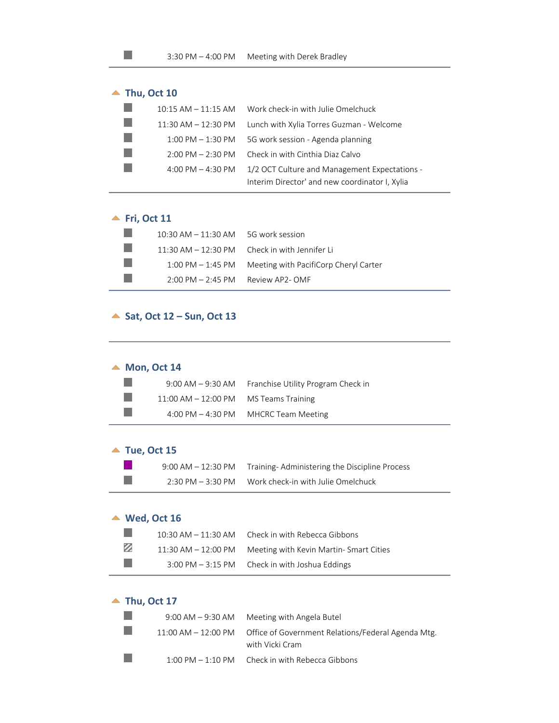<span id="page-2-0"></span>

#### <span id="page-2-1"></span>**Fri, Oct 11**

a a P. F.  $\mathcal{C}^{\mathcal{A}}$ 

 $\mathbb{R}^3$ 

| $10:30$ AM $-11:30$ AM $-5G$ work session |                                                           |
|-------------------------------------------|-----------------------------------------------------------|
|                                           | $11:30$ AM $- 12:30$ PM Check in with Jennifer Li         |
|                                           | 1:00 PM $-$ 1:45 PM Meeting with PacifiCorp Cheryl Carter |
| $2:00 \text{ PM} - 2:45 \text{ PM}$       | Review AP2- OMF                                           |

#### <span id="page-2-2"></span>▲ Sat, Oct 12 – Sun, Oct 13

#### <span id="page-2-3"></span>▲ Mon, Oct 14

| <b>Contract</b> |                                          | 9:00 AM – 9:30 AM Franchise Utility Program Check in   |
|-----------------|------------------------------------------|--------------------------------------------------------|
| <b>College</b>  | $11:00$ AM $-12:00$ PM MS Teams Training |                                                        |
| <b>College</b>  |                                          | $4:00 \text{ PM} - 4:30 \text{ PM}$ MHCRC Team Meeting |

#### <span id="page-2-4"></span>▲ Tue, Oct 15

| 9:00 AM – 12:30 PM | Training-Administering the Discipline Process |
|--------------------|-----------------------------------------------|
| 2:30 PM – 3:30 PM  | Work check-in with Julie Omelchuck            |

#### <span id="page-2-5"></span>**Wed, Oct 16**

|   | 10:30 AM $-$ 11:30 AM $-$ Check in with Rebecca Gibbons          |
|---|------------------------------------------------------------------|
| Ø | 11:30 AM - 12:00 PM Meeting with Kevin Martin-Smart Cities       |
|   | $3:00 \text{ PM} - 3:15 \text{ PM}$ Check in with Joshua Eddings |

#### <span id="page-2-6"></span>▲ Thu, Oct 17

| $9:00$ AM $-9:30$ AM                | Meeting with Angela Butel                                                                   |
|-------------------------------------|---------------------------------------------------------------------------------------------|
|                                     | 11:00 AM – 12:00 PM — Office of Government Relations/Federal Agenda Mtg.<br>with Vicki Cram |
| $1:00 \text{ PM} - 1:10 \text{ PM}$ | Check in with Rebecca Gibbons                                                               |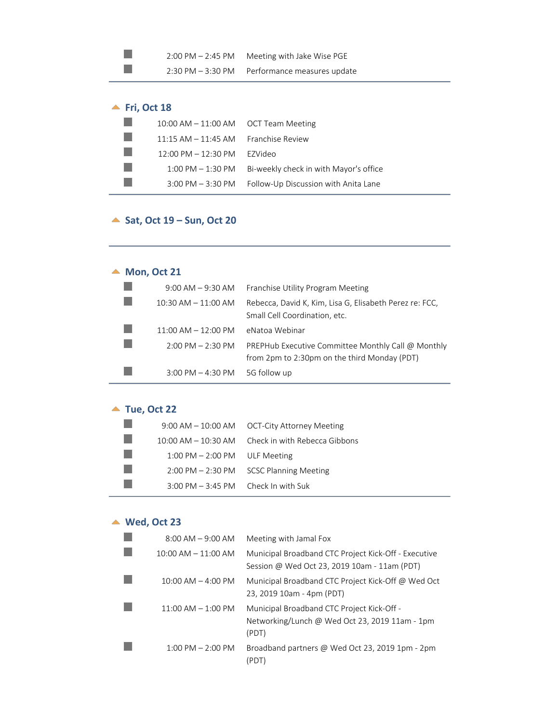| $2:00 \text{ PM} - 2:45 \text{ PM}$ | Meeting with Jake Wise PGE  |
|-------------------------------------|-----------------------------|
| $2:30$ PM $-3:30$ PM                | Performance measures update |

# <span id="page-3-0"></span> $\blacktriangle$  Fri, Oct 18

 $\mathbb{R}^n$  $\mathcal{L}_{\mathcal{A}}$ 

| 10:00 AM $-$ 11:00 AM $-$ OCT Team Meeting    |                                        |
|-----------------------------------------------|----------------------------------------|
| 11:15 AM $-$ 11:45 AM Franchise Review        |                                        |
| $12:00 \text{ PM} - 12:30 \text{ PM}$ EZVideo |                                        |
| $1:00 \text{ PM} - 1:30 \text{ PM}$           | Bi-weekly check in with Mayor's office |
| $3:00$ PM $-3:30$ PM                          | Follow-Up Discussion with Anita Lane   |

# <span id="page-3-1"></span>▲ Sat, Oct 19 – Sun, Oct 20

# <span id="page-3-2"></span>▲ Mon, Oct 21

| $9:00$ AM $-9:30$ AM                | Franchise Utility Program Meeting                                                                  |
|-------------------------------------|----------------------------------------------------------------------------------------------------|
| $10:30$ AM $- 11:00$ AM             | Rebecca, David K, Kim, Lisa G, Elisabeth Perez re: FCC,<br>Small Cell Coordination, etc.           |
| $11:00$ AM $- 12:00$ PM             | eNatoa Webinar                                                                                     |
| $2:00 \text{ PM} - 2:30 \text{ PM}$ | PREPHub Executive Committee Monthly Call @ Monthly<br>from 2pm to 2:30pm on the third Monday (PDT) |
| $3:00$ PM $-$ 4:30 PM               | 5G follow up                                                                                       |

# <span id="page-3-3"></span>▲ Tue, Oct 22

|                 |                                                 | $9:00$ AM $-10:00$ AM $-$ OCT-City Attorney Meeting      |  |
|-----------------|-------------------------------------------------|----------------------------------------------------------|--|
|                 |                                                 | $10:00$ AM $-10:30$ AM $-$ Check in with Rebecca Gibbons |  |
| <b>Contract</b> | $1:00 \text{ PM} - 2:00 \text{ PM}$ ULF Meeting |                                                          |  |
| <b>College</b>  |                                                 | 2:00 PM - 2:30 PM SCSC Planning Meeting                  |  |
|                 | $3:00$ PM $-3:45$ PM Check In with Suk          |                                                          |  |

# <span id="page-3-4"></span>**Wed, Oct 23**

| $8:00$ AM $-9:00$ AM    | Meeting with Jamal Fox                                                                                |
|-------------------------|-------------------------------------------------------------------------------------------------------|
| $10:00$ AM $- 11:00$ AM | Municipal Broadband CTC Project Kick-Off - Executive<br>Session @ Wed Oct 23, 2019 10am - 11am (PDT)  |
| $10:00$ AM $-$ 4:00 PM  | Municipal Broadband CTC Project Kick-Off @ Wed Oct<br>23, 2019 10am - 4pm (PDT)                       |
| $11:00$ AM $- 1:00$ PM  | Municipal Broadband CTC Project Kick-Off -<br>Networking/Lunch @ Wed Oct 23, 2019 11am - 1pm<br>(PDT) |
| $1:00$ PM $- 2:00$ PM   | Broadband partners @ Wed Oct 23, 2019 1pm - 2pm                                                       |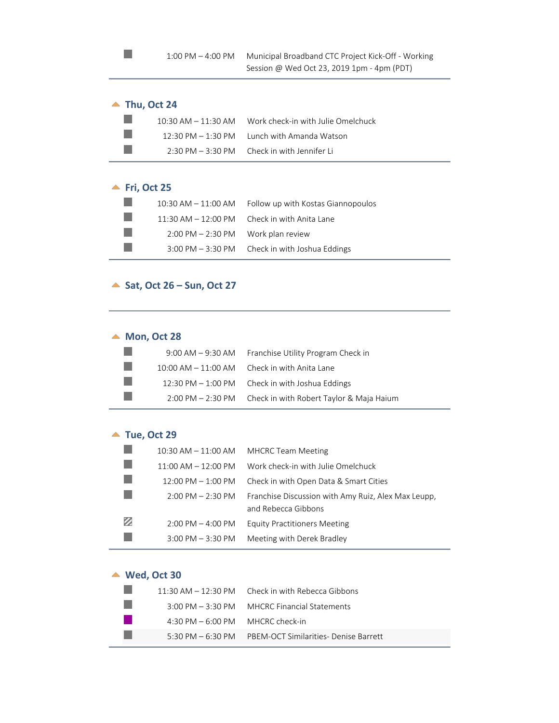### <span id="page-4-0"></span>▲ Thu, Oct 24

 $\mathbb{R}^3$ 

|                | 10:30 AM $-$ 11:30 AM Work check-in with Julie Omelchuck      |
|----------------|---------------------------------------------------------------|
| <b>College</b> | $12:30 \text{ PM} - 1:30 \text{ PM}$ Lunch with Amanda Watson |
|                | $2:30 \text{ PM} - 3:30 \text{ PM}$ Check in with Jennifer Li |

# <span id="page-4-1"></span>▲ Fri, Oct 25

| $10:30$ AM $- 11:00$ AM                              | Follow up with Kostas Giannopoulos             |
|------------------------------------------------------|------------------------------------------------|
|                                                      | 11:30 AM $-$ 12:00 PM Check in with Anita Lane |
| $2:00 \text{ PM} - 2:30 \text{ PM}$ Work plan review |                                                |
| $3:00$ PM $-3:30$ PM                                 | Check in with Joshua Eddings                   |

### <span id="page-4-2"></span>▲ Sat, Oct 26 – Sun, Oct 27

### <span id="page-4-3"></span>▲ Mon, Oct 28

|                                                                                                                       | 9:00 AM – 9:30 AM Franchise Utility Program Check in       |
|-----------------------------------------------------------------------------------------------------------------------|------------------------------------------------------------|
| <b>Contract</b>                                                                                                       | $10:00$ AM $- 11:00$ AM Check in with Anita Lane           |
| <b>The Contract of the Contract of the Contract of the Contract of the Contract of the Contract of the Contract o</b> | 12:30 PM $-$ 1:00 PM Check in with Joshua Eddings          |
|                                                                                                                       | 2:00 PM - 2:30 PM Check in with Robert Taylor & Maja Haium |

### <span id="page-4-4"></span>▲ Tue, Oct 29

|   | $10:30$ AM $- 11:00$ AM              | <b>MHCRC Team Meeting</b>                                                  |
|---|--------------------------------------|----------------------------------------------------------------------------|
|   | $11:00$ AM $- 12:00$ PM              | Work check-in with Julie Omelchuck                                         |
|   | $12:00 \text{ PM} - 1:00 \text{ PM}$ | Check in with Open Data & Smart Cities                                     |
|   | $2:00$ PM $- 2:30$ PM                | Franchise Discussion with Amy Ruiz, Alex Max Leupp,<br>and Rebecca Gibbons |
| Ø | $2:00$ PM $-$ 4:00 PM                | <b>Equity Practitioners Meeting</b>                                        |
|   | $3:00$ PM $-3:30$ PM                 | Meeting with Derek Bradley                                                 |

# <span id="page-4-5"></span>**Wed, Oct 30**

|                                                    | 11:30 AM $-$ 12:30 PM Check in with Rebecca Gibbons       |  |
|----------------------------------------------------|-----------------------------------------------------------|--|
|                                                    | 3:00 PM - 3:30 PM MHCRC Financial Statements              |  |
| $4:30 \text{ PM} - 6:00 \text{ PM}$ MHCRC check-in |                                                           |  |
|                                                    | 5:30 PM – 6:30 PM – PREM-OCT Similarities- Denise Barrett |  |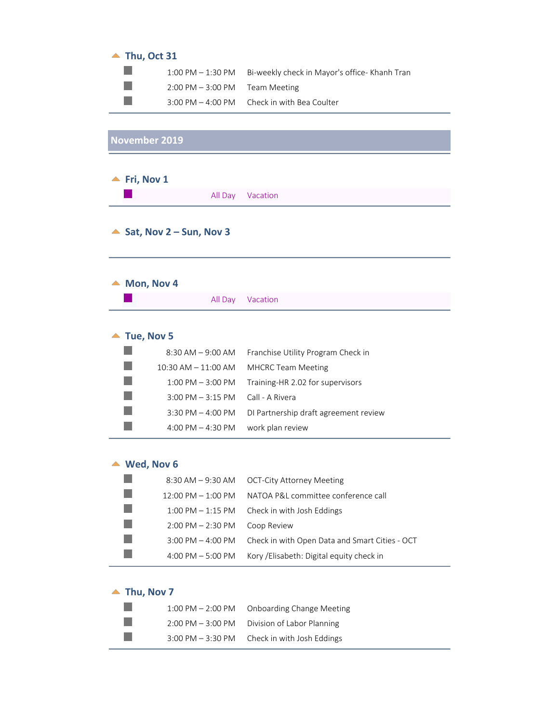# <span id="page-5-0"></span> $\blacktriangle$  Thu, Oct 31

|                                                  | $1:00 \text{ PM} - 1:30 \text{ PM}$ Bi-weekly check in Mayor's office- Khanh Tran |
|--------------------------------------------------|-----------------------------------------------------------------------------------|
| $2:00 \text{ PM} - 3:00 \text{ PM}$ Team Meeting |                                                                                   |
|                                                  | $3:00 \text{ PM} - 4:00 \text{ PM}$ Check in with Bea Coulter                     |

<span id="page-5-1"></span>

| November 2019           |                                       |  |
|-------------------------|---------------------------------------|--|
|                         |                                       |  |
| Fri, Nov 1              |                                       |  |
| All Day                 | Vacation                              |  |
|                         |                                       |  |
| Sat, Nov 2 – Sun, Nov 3 |                                       |  |
|                         |                                       |  |
|                         |                                       |  |
| Mon, Nov 4              |                                       |  |
| All Day                 | Vacation                              |  |
|                         |                                       |  |
| Tue, Nov 5              |                                       |  |
| $8:30$ AM $-9:00$ AM    | Franchise Utility Program Check in    |  |
| $10:30$ AM $- 11:00$ AM | <b>MHCRC Team Meeting</b>             |  |
| $1:00$ PM $-3:00$ PM    | Training-HR 2.02 for supervisors      |  |
| $3:00$ PM $-3:15$ PM    | Call - A Rivera                       |  |
| 3:30 PM $-$ 4:00 PM     | DI Partnership draft agreement review |  |
| 4:00 PM $-$ 4:30 PM     | work plan review                      |  |
|                         |                                       |  |
| Wed. Nov 6              |                                       |  |

#### **Wed, Nov 6**

| 8:30 AM – 9:30 AM                    | OCT-City Attorney Meeting                      |
|--------------------------------------|------------------------------------------------|
| $12:00 \text{ PM} - 1:00 \text{ PM}$ | NATOA P&L committee conference call            |
| $1:00$ PM $-1:15$ PM                 | Check in with Josh Eddings                     |
| $2:00$ PM $- 2:30$ PM                | Coop Review                                    |
| $3:00$ PM $-$ 4:00 PM                | Check in with Open Data and Smart Cities - OCT |
| 4:00 PM $-$ 5:00 PM                  | Kory / Elisabeth: Digital equity check in      |

 $\mathbb{R}$ 

|  |  | Thu, Nov 7 |  |
|--|--|------------|--|
|--|--|------------|--|

| $1:00 \, \text{PM} - 2:00 \, \text{PM}$ | <b>Onboarding Change Meeting</b> |
|-----------------------------------------|----------------------------------|
| $2:00 \text{ PM} - 3:00 \text{ PM}$     | Division of Labor Planning       |
| $3:00$ PM $-3:30$ PM                    | Check in with Josh Eddings       |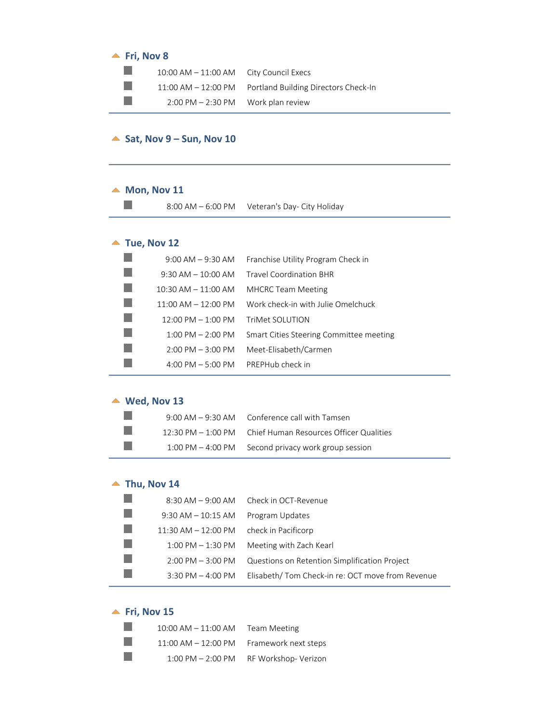#### $\blacktriangle$  Fri, Nov 8

| $10:00$ AM $-11:00$ AM City Council Execs            |                                                             |
|------------------------------------------------------|-------------------------------------------------------------|
|                                                      | $11:00$ AM $-12:00$ PM Portland Building Directors Check-In |
| $2:00 \text{ PM} - 2:30 \text{ PM}$ Work plan review |                                                             |

### <span id="page-6-0"></span> $\triangle$  Sat, Nov 9 – Sun, Nov 10

#### <span id="page-6-1"></span> $\blacktriangle$  Mon, Nov 11

8:00 AM – 6:00 PM Veteran's Day- City Holiday

## <span id="page-6-2"></span>▲ Tue, Nov 12

| $9:00$ AM $ 9:30$ AM    | Franchise Utility Program Check in      |
|-------------------------|-----------------------------------------|
| $9:30$ AM $-10:00$ AM   | <b>Travel Coordination BHR</b>          |
| $10:30$ AM $- 11:00$ AM | <b>MHCRC Team Meeting</b>               |
| $11:00$ AM $- 12:00$ PM | Work check-in with Julie Omelchuck      |
| $12:00$ PM $- 1:00$ PM  | TriMet SOLUTION                         |
| $1:00$ PM $- 2:00$ PM   | Smart Cities Steering Committee meeting |
| $2:00$ PM $-3:00$ PM    | Meet-Elisabeth/Carmen                   |
| 4:00 PM $-$ 5:00 PM     | PREPHub check in                        |

#### <span id="page-6-3"></span>▲ Wed, Nov 13

|                 | $9:00$ AM $-9:30$ AM $-$ Conference call with Tamsen         |
|-----------------|--------------------------------------------------------------|
| <b>Contract</b> | 12:30 PM – 1:00 PM – Chief Human Resources Officer Qualities |
|                 | 1:00 PM - 4:00 PM Second privacy work group session          |

### <span id="page-6-4"></span> $\blacktriangle$  Thu, Nov 14

|                        | 8:30 AM - 9:00 AM Check in OCT-Revenue           |
|------------------------|--------------------------------------------------|
| $9:30$ AM $ 10:15$ AM  | Program Updates                                  |
| $11:30$ AM $-12:00$ PM | check in Pacificorp                              |
| $1:00$ PM $-1:30$ PM   | Meeting with Zach Kearl                          |
| $2:00$ PM $-3:00$ PM   | Questions on Retention Simplification Project    |
| 3:30 PM $-$ 4:00 PM    | Elisabeth/Tom Check-in re: OCT move from Revenue |

## <span id="page-6-5"></span> $\blacktriangle$  Fri, Nov 15

| $10:00$ AM $-11:00$ AM Team Meeting      |                                        |
|------------------------------------------|----------------------------------------|
| 11:00 AM - 12:00 PM Framework next steps |                                        |
|                                          | 1:00 PM - 2:00 PM RF Workshop- Verizon |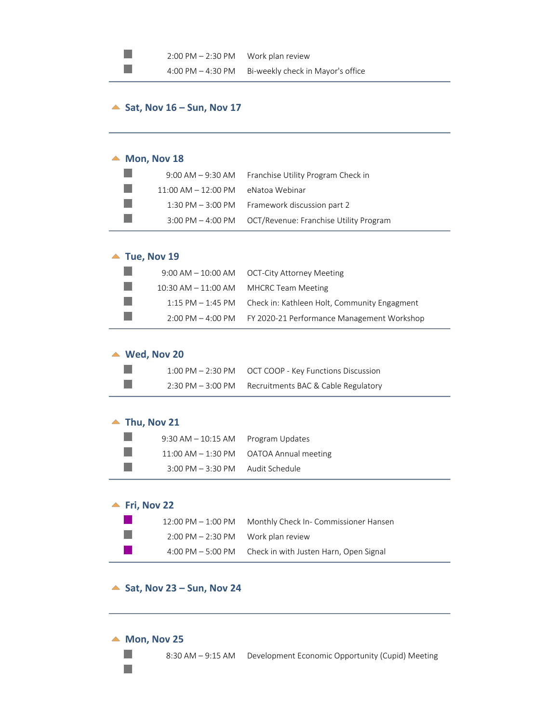## <span id="page-7-0"></span> $\triangle$  Sat, Nov 16 – Sun, Nov 17

#### <span id="page-7-1"></span>▲ Mon, Nov 18

 $\mathbb{R}^n$  $\mathbb{R}^n$ 

|                                       | 9:00 AM - 9:30 AM Franchise Utility Program Check in     |
|---------------------------------------|----------------------------------------------------------|
| $11:00$ AM $-12:00$ PM eNatoa Webinar |                                                          |
|                                       | 1:30 PM - 3:00 PM Framework discussion part 2            |
|                                       | 3:00 PM - 4:00 PM OCT/Revenue: Franchise Utility Program |

### <span id="page-7-2"></span>▲ Tue, Nov 19

|       | 9:00 AM - 10:00 AM OCT-City Attorney Meeting                      |
|-------|-------------------------------------------------------------------|
| a a s | 10:30 AM $-$ 11:00 AM MHCRC Team Meeting                          |
| m.    | $1:15$ PM $-1:45$ PM Check in: Kathleen Holt, Community Engagment |
| m.    | 2:00 PM - 4:00 PM FY 2020-21 Performance Management Workshop      |

#### <span id="page-7-3"></span>**Wed, Nov 20**

| . . | 1:00 PM – 2:30 PM – OCT COOP - Key Functions Discussion |
|-----|---------------------------------------------------------|
| . . | 2:30 PM - 3:00 PM Recruitments BAC & Cable Regulatory   |

#### <span id="page-7-4"></span>▲ Thu, Nov 21

| $9:30$ AM $-10:15$ AM Program Updates              |                                                |
|----------------------------------------------------|------------------------------------------------|
|                                                    | $11:00$ AM $-1:30$ PM $-$ OATOA Annual meeting |
| $3:00 \text{ PM} - 3:30 \text{ PM}$ Audit Schedule |                                                |

## <span id="page-7-5"></span>**Fri, Nov 22**

| $12:00 \text{ PM} - 1:00 \text{ PM}$                 | Monthly Check In- Commissioner Hansen  |
|------------------------------------------------------|----------------------------------------|
| $2:00 \text{ PM} - 2:30 \text{ PM}$ Work plan review |                                        |
| $4:00 \text{ PM} - 5:00 \text{ PM}$                  | Check in with Justen Harn, Open Signal |

#### <span id="page-7-6"></span>▲ Sat, Nov 23 – Sun, Nov 24

#### <span id="page-7-7"></span>▲ Mon, Nov 25

 $\mathcal{L}_{\mathcal{A}}$  $\mathbb{R}^n$ 

8:30 AM – 9:15 AM Development Economic Opportunity (Cupid) Meeting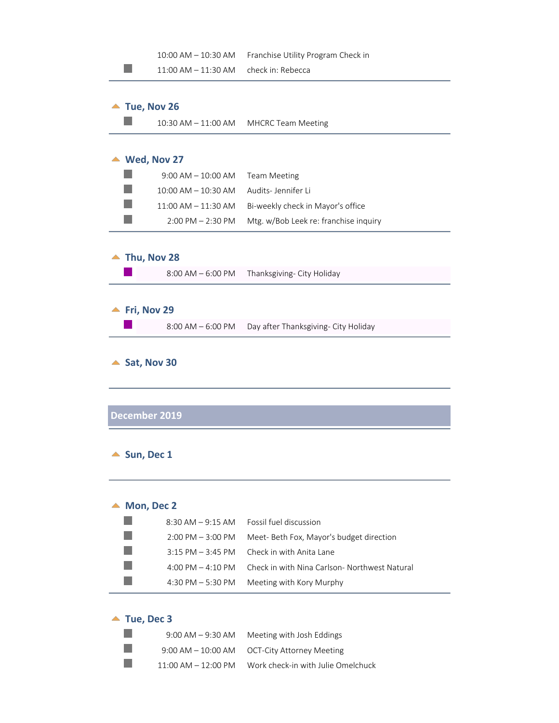<span id="page-8-3"></span><span id="page-8-2"></span><span id="page-8-1"></span><span id="page-8-0"></span>

|                             | 10:00 AM - 10:30 AM          | Franchise Utility Program Check in           |
|-----------------------------|------------------------------|----------------------------------------------|
|                             | 11:00 AM - 11:30 AM          | check in: Rebecca                            |
|                             |                              |                                              |
|                             | Tue, Nov 26                  |                                              |
|                             | $10:30$ AM $- 11:00$ AM      | <b>MHCRC Team Meeting</b>                    |
|                             |                              |                                              |
|                             |                              |                                              |
|                             | $\blacktriangle$ Wed, Nov 27 |                                              |
|                             | $9:00$ AM $-10:00$ AM        | <b>Team Meeting</b>                          |
|                             | 10:00 AM - 10:30 AM          | Audits-Jennifer Li                           |
|                             | 11:00 AM - 11:30 AM          | Bi-weekly check in Mayor's office            |
|                             | $2:00$ PM $- 2:30$ PM        | Mtg. w/Bob Leek re: franchise inquiry        |
|                             |                              |                                              |
|                             | Thu, Nov 28                  |                                              |
|                             | $8:00$ AM $-6:00$ PM         | Thanksgiving- City Holiday                   |
|                             |                              |                                              |
|                             |                              |                                              |
|                             | Fri, Nov 29                  |                                              |
|                             | $8:00$ AM $-6:00$ PM         | Day after Thanksgiving- City Holiday         |
|                             |                              |                                              |
|                             | December 2019                |                                              |
|                             |                              |                                              |
|                             | Sun, Dec 1                   |                                              |
|                             |                              |                                              |
|                             |                              |                                              |
|                             | $\blacktriangle$ Mon, Dec 2  |                                              |
|                             | $8:30$ AM $-9:15$ AM         | Fossil fuel discussion                       |
|                             | $2:00$ PM $-3:00$ PM         | Meet- Beth Fox, Mayor's budget direction     |
|                             | $3:15$ PM $-3:45$ PM         | Check in with Anita Lane                     |
|                             | 4:00 PM $-$ 4:10 PM          | Check in with Nina Carlson-Northwest Natural |
|                             |                              |                                              |
|                             | 4:30 PM $-5:30$ PM           | Meeting with Kory Murphy                     |
|                             |                              |                                              |
| $\blacktriangle$ Tue, Dec 3 |                              |                                              |
|                             | $9:00$ AM $-9:30$ AM         | Meeting with Josh Eddings                    |

9:00 AM – 10:00 AM OCT-City Attorney Meeting

 $\mathcal{L}_{\mathcal{A}}$  $\mathcal{L}_{\mathcal{A}}$ 

11:00 AM – 12:00 PM Work check-in with Julie Omelchuck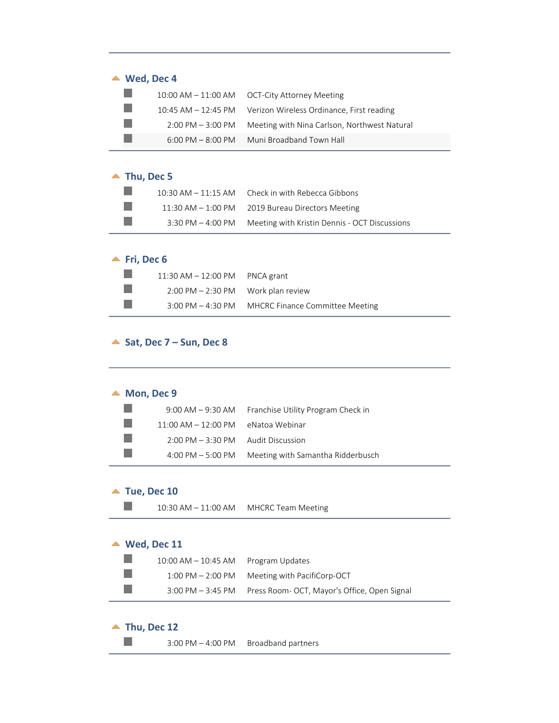| $\triangle$ Wed, Dec 4 |                                                                  |  |
|------------------------|------------------------------------------------------------------|--|
|                        | 10:00 AM - 11:00 AM   OCT-City Attorney Meeting                  |  |
|                        | 10:45 AM - 12:45 PM    Verizon Wireless Ordinance, First reading |  |
| $2:00$ PM $-3:00$ PM   | Meeting with Nina Carlson, Northwest Natural                     |  |
| $6:00$ PM $-8:00$ PM   | Muni Broadband Town Hall                                         |  |
|                        |                                                                  |  |

### ▲ Thu, Dec 5

| $10:30$ AM $-11:15$ AM | Check in with Rebecca Gibbons                 |
|------------------------|-----------------------------------------------|
| $11:30$ AM $-1:00$ PM  | 2019 Bureau Directors Meeting                 |
| $3:30$ PM $-$ 4:00 PM  | Meeting with Kristin Dennis - OCT Discussions |

# ▲ Fri, Dec 6

| $11:30$ AM $-12:00$ PM PNCA grant                    |                                        |
|------------------------------------------------------|----------------------------------------|
| $2:00 \text{ PM} - 2:30 \text{ PM}$ Work plan review |                                        |
| $3:00 \text{ PM} - 4:30 \text{ PM}$                  | <b>MHCRC Finance Committee Meeting</b> |

### <span id="page-9-0"></span>▲ Sat, Dec 7 – Sun, Dec 8

<span id="page-9-1"></span>

| Mon, Dec 9 |                                     |                                    |
|------------|-------------------------------------|------------------------------------|
|            | $9:00$ AM $-9:30$ AM                | Franchise Utility Program Check in |
|            | $11:00$ AM $- 12:00$ PM             | eNatoa Webinar                     |
|            | $2:00 \text{ PM} - 3:30 \text{ PM}$ | <b>Audit Discussion</b>            |
|            | 4:00 PM $-$ 5:00 PM                 | Meeting with Samantha Ridderbusch  |
|            |                                     |                                    |
| ▲          | Tue, Dec 10                         |                                    |
|            | $10:30$ AM $- 11:00$ AM             | <b>MHCRC Team Meeting</b>          |

# <span id="page-9-3"></span><span id="page-9-2"></span>▲ Wed, Dec 11

| $10:00$ AM $- 10:45$ AM Program Updates |                                                                |
|-----------------------------------------|----------------------------------------------------------------|
| $1:00 \text{ PM} - 2:00 \text{ PM}$     | Meeting with PacifiCorp-OCT                                    |
|                                         | 3:00 PM - 3:45 PM Press Room- OCT, Mayor's Office, Open Signal |

### <span id="page-9-4"></span>▲ Thu, Dec 12

 $\mathbb{R}^n$ 

3:00 PM – 4:00 PM Broadband partners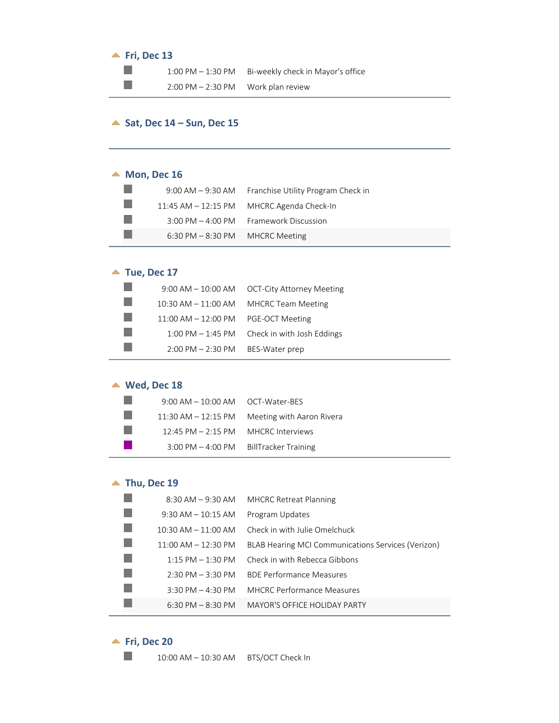### <span id="page-10-0"></span>**<u>▲ Fri, Dec 13</u>**

 $\mathbb{R}^3$  $\mathbb{R}^3$  1:00 PM – 1:30 PM Bi-weekly check in Mayor's office

2:00 PM - 2:30 PM Work plan review

#### <span id="page-10-1"></span>▲ Sat, Dec 14 – Sun, Dec 15

#### <span id="page-10-2"></span>▲ Mon, Dec 16

|                                                   | 9:00 AM – 9:30 AM Franchise Utility Program Check in |
|---------------------------------------------------|------------------------------------------------------|
|                                                   | 11:45 AM - 12:15 PM MHCRC Agenda Check-In            |
|                                                   | 3:00 PM - 4:00 PM Framework Discussion               |
| $6:30 \text{ PM} - 8:30 \text{ PM}$ MHCRC Meeting |                                                      |

#### <span id="page-10-3"></span>▲ Tue, Dec 17

|                                                    | $9:00$ AM $-10:00$ AM $-$ OCT-City Attorney Meeting |
|----------------------------------------------------|-----------------------------------------------------|
|                                                    | 10:30 AM $-$ 11:00 AM MHCRC Team Meeting            |
| $11:00$ AM $- 12:00$ PM PGE-OCT Meeting            |                                                     |
|                                                    | 1:00 PM - 1:45 PM Check in with Josh Eddings        |
| $2:00 \text{ PM} - 2:30 \text{ PM}$ BES-Water prep |                                                     |
|                                                    |                                                     |

### <span id="page-10-4"></span>**Wed, Dec 18**

| $9:00$ AM $-10:00$ AM $-$ OCT-Water-RFS |                                               |
|-----------------------------------------|-----------------------------------------------|
|                                         | 11:30 AM - 12:15 PM Meeting with Aaron Rivera |
| $12:45 \text{ PM} - 2:15 \text{ PM}$    | MHCRC Interviews                              |
| $3:00$ PM $-$ 4:00 PM                   | <b>BillTracker Training</b>                   |

### <span id="page-10-5"></span>▲ Thu, Dec 19

| $8:30$ AM $-9:30$ AM                | <b>MHCRC Retreat Planning</b>                      |
|-------------------------------------|----------------------------------------------------|
| $9:30$ AM $-10:15$ AM               | Program Updates                                    |
| $10:30$ AM $- 11:00$ AM             | Check in with Julie Omelchuck                      |
| $11:00$ AM $- 12:30$ PM             | BLAB Hearing MCI Communications Services (Verizon) |
| $1:15$ PM $- 1:30$ PM               | Check in with Rebecca Gibbons                      |
| $2:30 \text{ PM} - 3:30 \text{ PM}$ | <b>BDF Performance Measures</b>                    |
| $3:30$ PM $- 4:30$ PM               | <b>MHCRC Performance Measures</b>                  |
| $6:30 \text{ PM} - 8:30 \text{ PM}$ | <b>MAYOR'S OFFICE HOLIDAY PARTY</b>                |
|                                     |                                                    |

## <span id="page-10-6"></span>**<u>▲ Fri, Dec 20</u>**

 $\mathcal{L}^{\mathcal{A}}$ 

10:00 AM – 10:30 AM BTS/OCT Check In